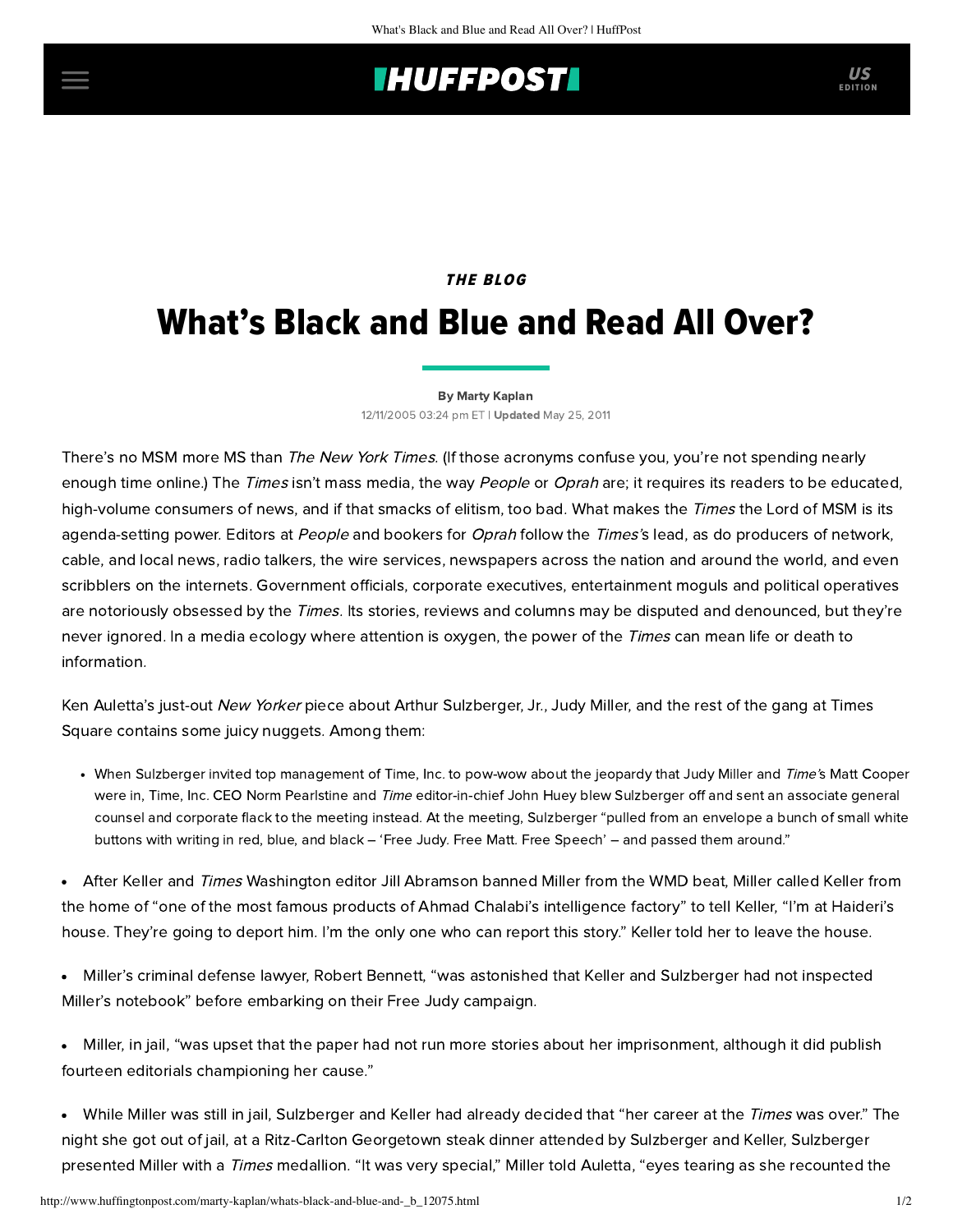## **IHUFFPOSTI** US

### **THE BLOG**

# What's Black and Blue and Read All Over?

#### [By Marty Kaplan](http://www.huffingtonpost.com/author/marty-kaplan)

12/11/2005 03:24 pm ET | Updated May 25, 2011

There's no MSM more MS than The New York Times. (If those acronyms confuse you, you're not spending nearly enough time online.) The Times isn't mass media, the way People or Oprah are; it requires its readers to be educated, high-volume consumers of news, and if that smacks of elitism, too bad. What makes the Times the Lord of MSM is its agenda-setting power. Editors at People and bookers for Oprah follow the Times's lead, as do producers of network, cable, and local news, radio talkers, the wire services, newspapers across the nation and around the world, and even scribblers on the internets. Government officials, corporate executives, entertainment moguls and political operatives are notoriously obsessed by the Times. Its stories, reviews and columns may be disputed and denounced, but they're never ignored. In a media ecology where attention is oxygen, the power of the *Times* can mean life or death to information.

Ken Auletta's just-out *New Yorker* piece about Arthur Sulzberger, Jr., Judy Miller, and the rest of the gang at Times Square contains some juicy nuggets. Among them:

• When Sulzberger invited top management of Time, Inc. to pow-wow about the jeopardy that Judy Miller and Time's Matt Cooper were in, Time, Inc. CEO Norm Pearlstine and Time editor-in-chief John Huey blew Sulzberger off and sent an associate general counsel and corporate flack to the meeting instead. At the meeting, Sulzberger "pulled from an envelope a bunch of small white buttons with writing in red, blue, and black – 'Free Judy. Free Matt. Free Speech' – and passed them around."

• After Keller and Times Washington editor Jill Abramson banned Miller from the WMD beat, Miller called Keller from the home of "one of the most famous products of Ahmad Chalabi's intelligence factory" to tell Keller, "I'm at Haideri's house. They're going to deport him. I'm the only one who can report this story." Keller told her to leave the house.

- Miller's criminal defense lawyer, Robert Bennett, "was astonished that Keller and Sulzberger had not inspected Miller's notebook" before embarking on their Free Judy campaign.
- Miller, in jail, "was upset that the paper had not run more stories about her imprisonment, although it did publish fourteen editorials championing her cause."
- While Miller was still in jail, Sulzberger and Keller had already decided that "her career at the Times was over." The night she got out of jail, at a Ritz-Carlton Georgetown steak dinner attended by Sulzberger and Keller, Sulzberger presented Miller with a Times medallion. "It was very special," Miller told Auletta, "eyes tearing as she recounted the